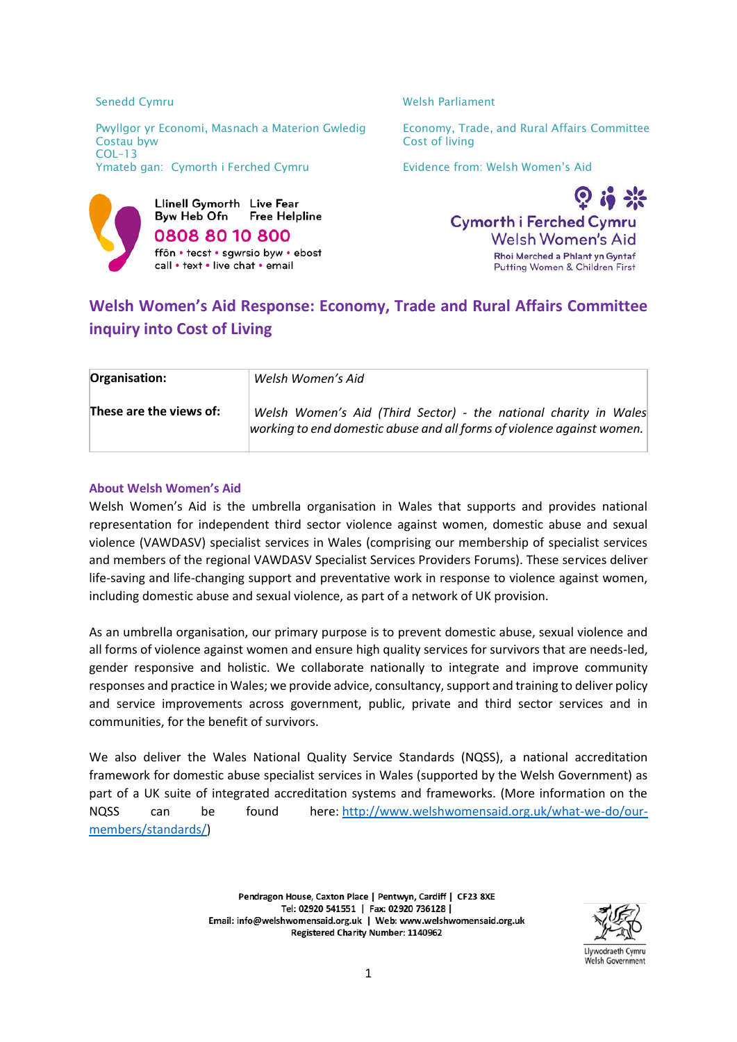Llinell Gymorth Live Fear Byw Heb Ofn **Free Helpline 0808 80 10 800** ffôn • tecst • sawrsio byw • ebost call • text • live chat • email

Senedd Cymru Nelsh Parliament



# **Welsh Women's Aid Response: Economy, Trade and Rural Affairs Committee inquiry into Cost of Living**

| Organisation:           | Welsh Women's Aid                                                                                                                          |
|-------------------------|--------------------------------------------------------------------------------------------------------------------------------------------|
| These are the views of: | Welsh Women's Aid (Third Sector) - the national charity in Wales<br>working to end domestic abuse and all forms of violence against women. |

### **About Welsh Women's Aid**

Welsh Women's Aid is the umbrella organisation in Wales that supports and provides national representation for independent third sector violence against women, domestic abuse and sexual violence (VAWDASV) specialist services in Wales (comprising our membership of specialist services and members of the regional VAWDASV Specialist Services Providers Forums). These services deliver life-saving and life-changing support and preventative work in response to violence against women, including domestic abuse and sexual violence, as part of a network of UK provision.

As an umbrella organisation, our primary purpose is to prevent domestic abuse, sexual violence and all forms of violence against women and ensure high quality services for survivors that are needs-led, gender responsive and holistic. We collaborate nationally to integrate and improve community responses and practice in Wales; we provide advice, consultancy, support and training to deliver policy and service improvements across government, public, private and third sector services and in communities, for the benefit of survivors.

We also deliver the Wales National Quality Service Standards (NQSS), a national accreditation framework for domestic abuse specialist services in Wales (supported by the Welsh Government) as part of a UK suite of integrated accreditation systems and frameworks. (More information on the NQSS can be found here: [http://www.welshwomensaid.org.uk/what-we-do/our](http://www.welshwomensaid.org.uk/what-we-do/our-members/standards/)[members/standards/\)](http://www.welshwomensaid.org.uk/what-we-do/our-members/standards/)

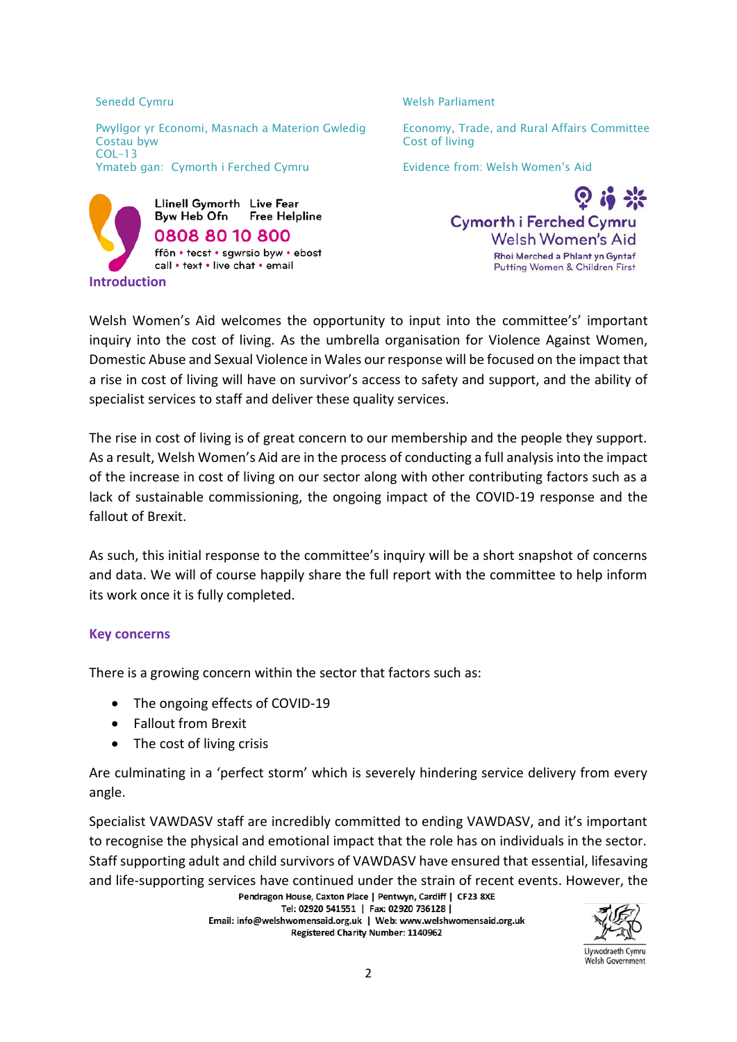

Senedd Cymru Nelsh Parliament



Welsh Women's Aid welcomes the opportunity to input into the committee's' important inquiry into the cost of living. As the umbrella organisation for Violence Against Women, Domestic Abuse and Sexual Violence in Wales our response will be focused on the impact that a rise in cost of living will have on survivor's access to safety and support, and the ability of specialist services to staff and deliver these quality services.

The rise in cost of living is of great concern to our membership and the people they support. As a result, Welsh Women's Aid are in the process of conducting a full analysis into the impact of the increase in cost of living on our sector along with other contributing factors such as a lack of sustainable commissioning, the ongoing impact of the COVID-19 response and the fallout of Brexit.

As such, this initial response to the committee's inquiry will be a short snapshot of concerns and data. We will of course happily share the full report with the committee to help inform its work once it is fully completed.

## **Key concerns**

There is a growing concern within the sector that factors such as:

- The ongoing effects of COVID-19
- Fallout from Brexit
- The cost of living crisis

Are culminating in a 'perfect storm' which is severely hindering service delivery from every angle.

Specialist VAWDASV staff are incredibly committed to ending VAWDASV, and it's important to recognise the physical and emotional impact that the role has on individuals in the sector. Staff supporting adult and child survivors of VAWDASV have ensured that essential, lifesaving and life-supporting services have continued under the strain of recent events. However, the Pendragon House, Caxton Place | Pentwyn, Cardiff | CF23 8XE

Tel: 02920 541551 | Fax: 02920 736128 | Email: info@welshwomensaid.org.uk | Web: www.welshwomensaid.org.uk Registered Charity Number: 1140962



Llywodraeth Cymru Welsh Government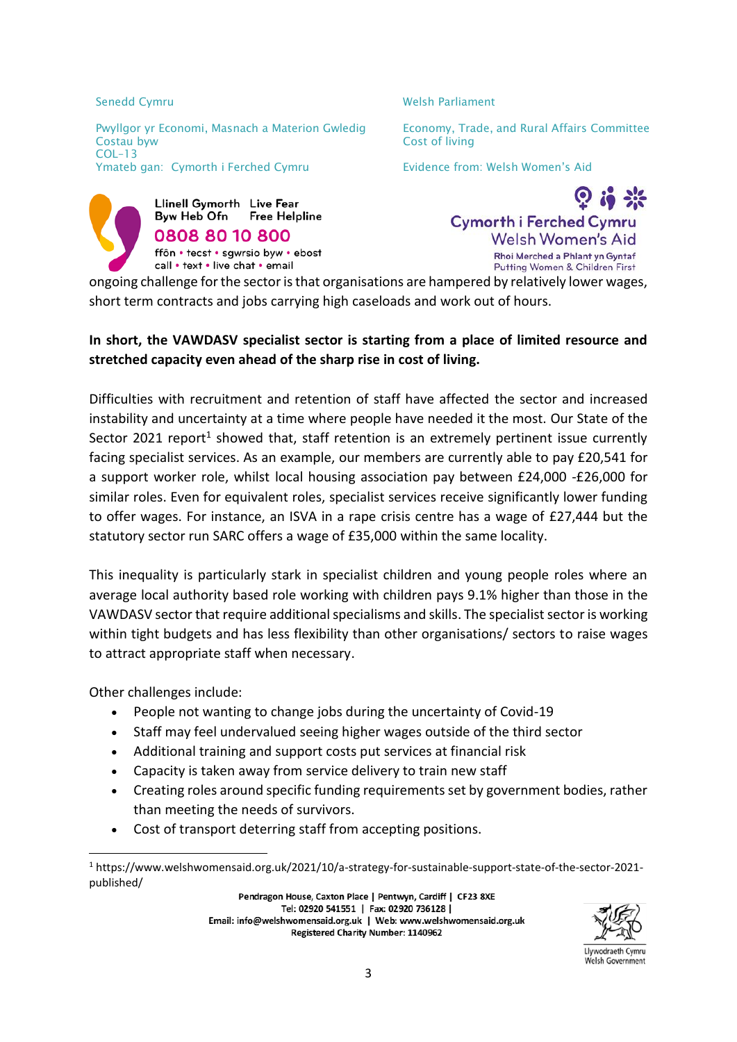Senedd Cymru Nelsh Parliament



 $\Omega$  is  $\mathbb{R}$ **Cymorth i Ferched Cymru Welsh Women's Aid** Rhoi Merched a Phlant yn Gyntaf Putting Women & Children First

ongoing challenge for the sector is that organisations are hampered by relatively lower wages, short term contracts and jobs carrying high caseloads and work out of hours.

## **In short, the VAWDASV specialist sector is starting from a place of limited resource and stretched capacity even ahead of the sharp rise in cost of living.**

Difficulties with recruitment and retention of staff have affected the sector and increased instability and uncertainty at a time where people have needed it the most. Our State of the Sector 2021 report<sup>1</sup> showed that, staff retention is an extremely pertinent issue currently facing specialist services. As an example, our members are currently able to pay £20,541 for a support worker role, whilst local housing association pay between £24,000 -£26,000 for similar roles. Even for equivalent roles, specialist services receive significantly lower funding to offer wages. For instance, an ISVA in a rape crisis centre has a wage of £27,444 but the statutory sector run SARC offers a wage of £35,000 within the same locality.

This inequality is particularly stark in specialist children and young people roles where an average local authority based role working with children pays 9.1% higher than those in the VAWDASV sector that require additional specialisms and skills. The specialist sector is working within tight budgets and has less flexibility than other organisations/ sectors to raise wages to attract appropriate staff when necessary.

Other challenges include:

**.** 

- People not wanting to change jobs during the uncertainty of Covid-19
- Staff may feel undervalued seeing higher wages outside of the third sector
- Additional training and support costs put services at financial risk
- Capacity is taken away from service delivery to train new staff
- Creating roles around specific funding requirements set by government bodies, rather than meeting the needs of survivors.
- Cost of transport deterring staff from accepting positions.

Pendragon House, Caxton Place | Pentwyn, Cardiff | CF23 8XE Tel: 02920 541551 | Fax: 02920 736128 | Email: info@welshwomensaid.org.uk | Web: www.welshwomensaid.org.uk Registered Charity Number: 1140962



Llywodraeth Cymru Welsh Government

<sup>1</sup> https://www.welshwomensaid.org.uk/2021/10/a-strategy-for-sustainable-support-state-of-the-sector-2021 published/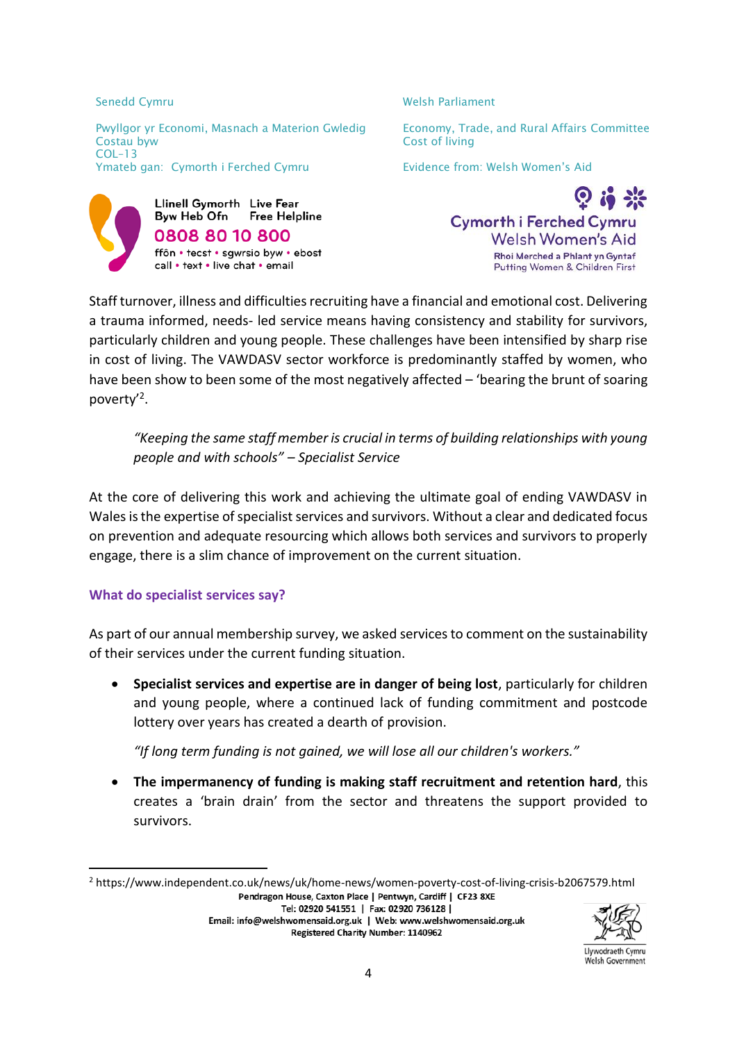

Senedd Cymru Nelsh Parliament



Staff turnover, illness and difficulties recruiting have a financial and emotional cost. Delivering a trauma informed, needs- led service means having consistency and stability for survivors, particularly children and young people. These challenges have been intensified by sharp rise in cost of living. The VAWDASV sector workforce is predominantly staffed by women, who have been show to been some of the most negatively affected – 'bearing the brunt of soaring poverty'<sup>2</sup> .

*"Keeping the same staff member is crucial in terms of building relationships with young people and with schools" – Specialist Service*

At the core of delivering this work and achieving the ultimate goal of ending VAWDASV in Wales is the expertise of specialist services and survivors. Without a clear and dedicated focus on prevention and adequate resourcing which allows both services and survivors to properly engage, there is a slim chance of improvement on the current situation.

## **What do specialist services say?**

**.** 

As part of our annual membership survey, we asked services to comment on the sustainability of their services under the current funding situation.

 **Specialist services and expertise are in danger of being lost**, particularly for children and young people, where a continued lack of funding commitment and postcode lottery over years has created a dearth of provision.

*"If long term funding is not gained, we will lose all our children's workers."*

 **The impermanency of funding is making staff recruitment and retention hard**, this creates a 'brain drain' from the sector and threatens the support provided to survivors.

Tel: 02920 541551 | Fax: 02920 736128 | Email: info@welshwomensaid.org.uk | Web: www.welshwomensaid.org.uk Registered Charity Number: 1140962



Llywodraeth Cymru Welsh Government

<sup>&</sup>lt;sup>2</sup> https://www.independent.co.uk/news/uk/home-news/women-poverty-cost-of-living-crisis-b2067579.html<br>Pendragon House, Caxton Place | Pentwyn, Cardiff | CF23 8XE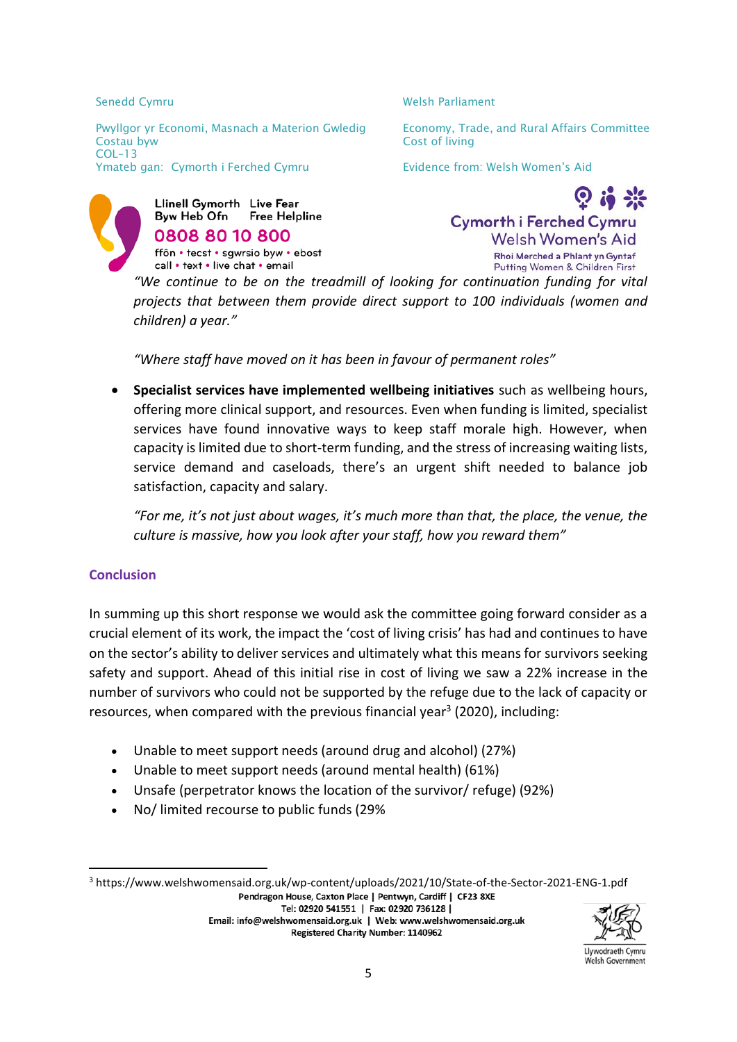Senedd Cymru Nelsh Parliament



 $\Omega$  is  $\mathbb{R}$ **Cymorth i Ferched Cymru Welsh Women's Aid Rhoi Merched a Phlant yn Gyntaf** Putting Women & Children First

*"We continue to be on the treadmill of looking for continuation funding for vital projects that between them provide direct support to 100 individuals (women and children) a year."*

*"Where staff have moved on it has been in favour of permanent roles"*

 **Specialist services have implemented wellbeing initiatives** such as wellbeing hours, offering more clinical support, and resources. Even when funding is limited, specialist services have found innovative ways to keep staff morale high. However, when capacity is limited due to short-term funding, and the stress of increasing waiting lists, service demand and caseloads, there's an urgent shift needed to balance job satisfaction, capacity and salary.

*"For me, it's not just about wages, it's much more than that, the place, the venue, the culture is massive, how you look after your staff, how you reward them"*

## **Conclusion**

**.** 

In summing up this short response we would ask the committee going forward consider as a crucial element of its work, the impact the 'cost of living crisis' has had and continues to have on the sector's ability to deliver services and ultimately what this means for survivors seeking safety and support. Ahead of this initial rise in cost of living we saw a 22% increase in the number of survivors who could not be supported by the refuge due to the lack of capacity or resources, when compared with the previous financial year<sup>3</sup> (2020), including:

- Unable to meet support needs (around drug and alcohol) (27%)
- Unable to meet support needs (around mental health) (61%)
- Unsafe (perpetrator knows the location of the survivor/ refuge) (92%)
- No/ limited recourse to public funds (29%

<sup>3</sup> https://www.welshwomensaid.org.uk/wp-content/uploads/2021/10/State-of-the-Sector-2021-ENG-1.pdf<br>Pendragon House, Caxton Place | Pentwyn, Cardiff | CF23 8XE Tel: 02920 541551 | Fax: 02920 736128 |

Email: info@welshwomensaid.org.uk | Web: www.welshwomensaid.org.uk Registered Charity Number: 1140962



Llywodraeth Cymru Welsh Government